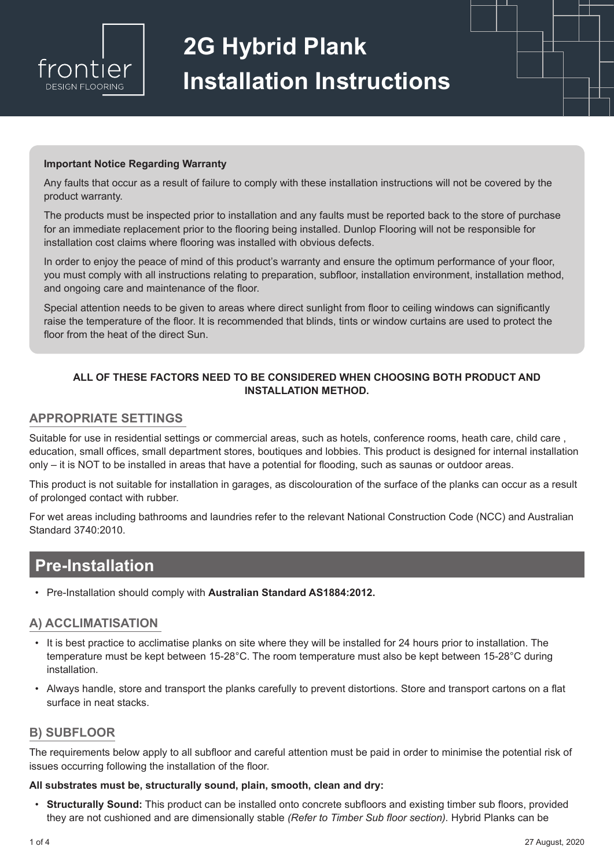

# **2G Hybrid Plank Installation Instructions**

#### **Important Notice Regarding Warranty**

Any faults that occur as a result of failure to comply with these installation instructions will not be covered by the product warranty.

The products must be inspected prior to installation and any faults must be reported back to the store of purchase for an immediate replacement prior to the flooring being installed. Dunlop Flooring will not be responsible for installation cost claims where flooring was installed with obvious defects.

In order to enjoy the peace of mind of this product's warranty and ensure the optimum performance of your floor, you must comply with all instructions relating to preparation, subfloor, installation environment, installation method, and ongoing care and maintenance of the floor.

Special attention needs to be given to areas where direct sunlight from floor to ceiling windows can significantly raise the temperature of the floor. It is recommended that blinds, tints or window curtains are used to protect the floor from the heat of the direct Sun.

#### **ALL OF THESE FACTORS NEED TO BE CONSIDERED WHEN CHOOSING BOTH PRODUCT AND INSTALLATION METHOD.**

#### **APPROPRIATE SETTINGS**

Suitable for use in residential settings or commercial areas, such as hotels, conference rooms, heath care, child care , education, small offices, small department stores, boutiques and lobbies. This product is designed for internal installation only – it is NOT to be installed in areas that have a potential for flooding, such as saunas or outdoor areas.

This product is not suitable for installation in garages, as discolouration of the surface of the planks can occur as a result of prolonged contact with rubber.

For wet areas including bathrooms and laundries refer to the relevant National Construction Code (NCC) and Australian Standard 3740:2010.

## **Pre-Installation**

• Pre-Installation should comply with **Australian Standard AS1884:2012.**

#### **A) ACCLIMATISATION**

- It is best practice to acclimatise planks on site where they will be installed for 24 hours prior to installation. The temperature must be kept between 15-28°C. The room temperature must also be kept between 15-28°C during installation.
- Always handle, store and transport the planks carefully to prevent distortions. Store and transport cartons on a flat surface in neat stacks.

#### **B) SUBFLOOR**

The requirements below apply to all subfloor and careful attention must be paid in order to minimise the potential risk of issues occurring following the installation of the floor.

#### **All substrates must be, structurally sound, plain, smooth, clean and dry:**

• **Structurally Sound:** This product can be installed onto concrete subfloors and existing timber sub floors, provided they are not cushioned and are dimensionally stable *(Refer to Timber Sub floor section).* Hybrid Planks can be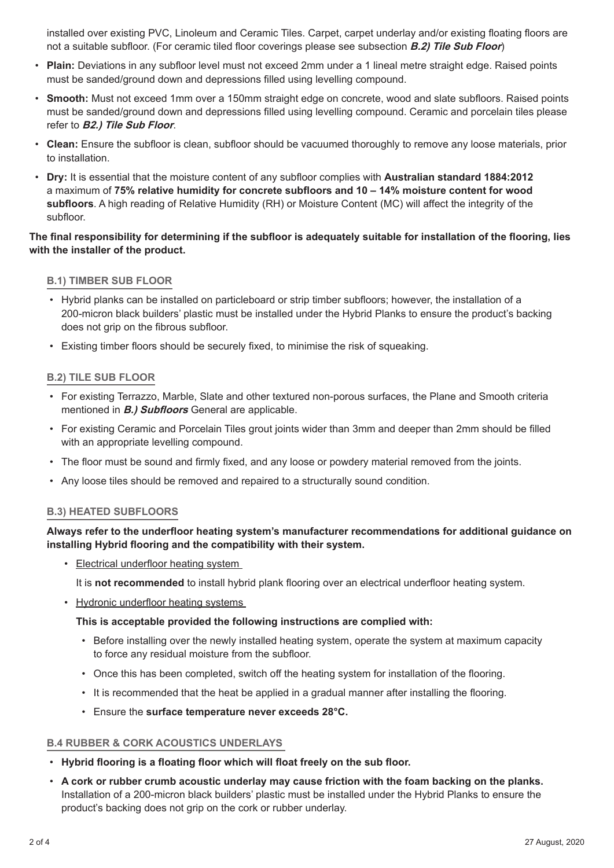installed over existing PVC, Linoleum and Ceramic Tiles. Carpet, carpet underlay and/or existing floating floors are not a suitable subfloor. (For ceramic tiled floor coverings please see subsection **B.2) Tile Sub Floor**)

- **Plain:** Deviations in any subfloor level must not exceed 2mm under a 1 lineal metre straight edge. Raised points must be sanded/ground down and depressions filled using levelling compound.
- **Smooth:** Must not exceed 1mm over a 150mm straight edge on concrete, wood and slate subfloors. Raised points must be sanded/ground down and depressions filled using levelling compound. Ceramic and porcelain tiles please refer to **B2.) Tile Sub Floor**.
- **Clean:** Ensure the subfloor is clean, subfloor should be vacuumed thoroughly to remove any loose materials, prior to installation.
- **Dry:** It is essential that the moisture content of any subfloor complies with **Australian standard 1884:2012** a maximum of **75% relative humidity for concrete subfloors and 10 – 14% moisture content for wood subfloors**. A high reading of Relative Humidity (RH) or Moisture Content (MC) will affect the integrity of the subfloor.

#### **The final responsibility for determining if the subfloor is adequately suitable for installation of the flooring, lies with the installer of the product.**

#### **B.1) TIMBER SUB FLOOR**

- Hybrid planks can be installed on particleboard or strip timber subfloors; however, the installation of a 200-micron black builders' plastic must be installed under the Hybrid Planks to ensure the product's backing does not grip on the fibrous subfloor.
- Existing timber floors should be securely fixed, to minimise the risk of squeaking.

#### **B.2) TILE SUB FLOOR**

- For existing Terrazzo, Marble, Slate and other textured non-porous surfaces, the Plane and Smooth criteria mentioned in **B.) Subfloors** General are applicable.
- For existing Ceramic and Porcelain Tiles grout joints wider than 3mm and deeper than 2mm should be filled with an appropriate levelling compound.
- The floor must be sound and firmly fixed, and any loose or powdery material removed from the joints.
- Any loose tiles should be removed and repaired to a structurally sound condition.

#### **B.3) HEATED SUBFLOORS**

#### **Always refer to the underfloor heating system's manufacturer recommendations for additional guidance on installing Hybrid flooring and the compatibility with their system.**

• Electrical underfloor heating system

It is **not recommended** to install hybrid plank flooring over an electrical underfloor heating system.

• Hydronic underfloor heating systems

#### **This is acceptable provided the following instructions are complied with:**

- Before installing over the newly installed heating system, operate the system at maximum capacity to force any residual moisture from the subfloor.
- Once this has been completed, switch off the heating system for installation of the flooring.
- It is recommended that the heat be applied in a gradual manner after installing the flooring.
- Ensure the **surface temperature never exceeds 28°C.**

#### **B.4 RUBBER & CORK ACOUSTICS UNDERLAYS**

- **Hybrid flooring is a floating floor which will float freely on the sub floor.**
- **A cork or rubber crumb acoustic underlay may cause friction with the foam backing on the planks.** Installation of a 200-micron black builders' plastic must be installed under the Hybrid Planks to ensure the product's backing does not grip on the cork or rubber underlay.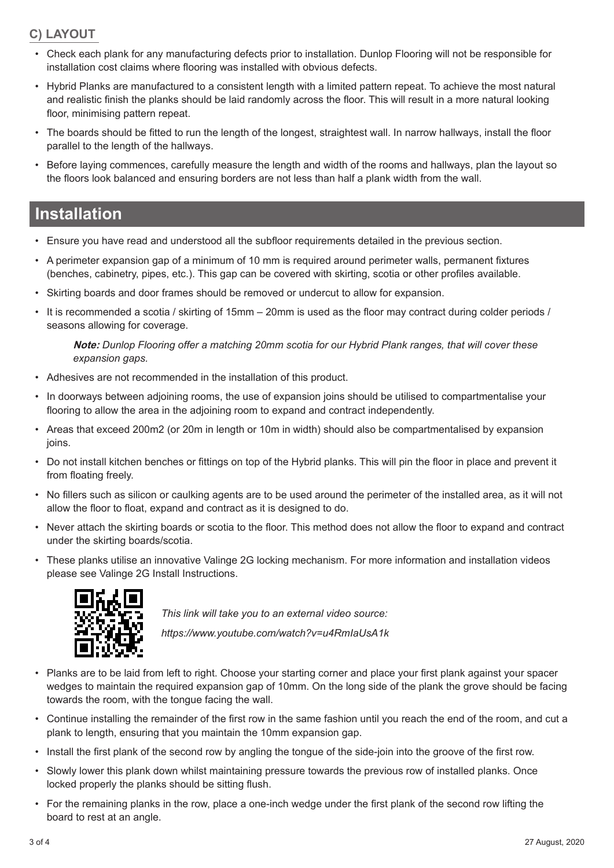### **C) LAYOUT**

- Check each plank for any manufacturing defects prior to installation. Dunlop Flooring will not be responsible for installation cost claims where flooring was installed with obvious defects.
- Hybrid Planks are manufactured to a consistent length with a limited pattern repeat. To achieve the most natural and realistic finish the planks should be laid randomly across the floor. This will result in a more natural looking floor, minimising pattern repeat.
- The boards should be fitted to run the length of the longest, straightest wall. In narrow hallways, install the floor parallel to the length of the hallways.
- Before laying commences, carefully measure the length and width of the rooms and hallways, plan the layout so the floors look balanced and ensuring borders are not less than half a plank width from the wall.

## **Installation**

- Ensure you have read and understood all the subfloor requirements detailed in the previous section.
- A perimeter expansion gap of a minimum of 10 mm is required around perimeter walls, permanent fixtures (benches, cabinetry, pipes, etc.). This gap can be covered with skirting, scotia or other profiles available.
- Skirting boards and door frames should be removed or undercut to allow for expansion.
- It is recommended a scotia / skirting of 15mm 20mm is used as the floor may contract during colder periods / seasons allowing for coverage.

**Note:** *Dunlop Flooring offer a matching 20mm scotia for our Hybrid Plank ranges, that will cover these expansion gaps.* 

- Adhesives are not recommended in the installation of this product.
- In doorways between adjoining rooms, the use of expansion joins should be utilised to compartmentalise your flooring to allow the area in the adjoining room to expand and contract independently.
- Areas that exceed 200m2 (or 20m in length or 10m in width) should also be compartmentalised by expansion joins.
- Do not install kitchen benches or fittings on top of the Hybrid planks. This will pin the floor in place and prevent it from floating freely.
- No fillers such as silicon or caulking agents are to be used around the perimeter of the installed area, as it will not allow the floor to float, expand and contract as it is designed to do.
- Never attach the skirting boards or scotia to the floor. This method does not allow the floor to expand and contract under the skirting boards/scotia.
- These planks utilise an innovative Valinge 2G locking mechanism. For more information and installation videos please see Valinge 2G Install Instructions.



*This link will take you to an external video source:*

*https://www.youtube.com/watch?v=u4RmIaUsA1k*

- Planks are to be laid from left to right. Choose your starting corner and place your first plank against your spacer wedges to maintain the required expansion gap of 10mm. On the long side of the plank the grove should be facing towards the room, with the tongue facing the wall.
- Continue installing the remainder of the first row in the same fashion until you reach the end of the room, and cut a plank to length, ensuring that you maintain the 10mm expansion gap.
- Install the first plank of the second row by angling the tongue of the side-join into the groove of the first row.
- Slowly lower this plank down whilst maintaining pressure towards the previous row of installed planks. Once locked properly the planks should be sitting flush.
- For the remaining planks in the row, place a one-inch wedge under the first plank of the second row lifting the board to rest at an angle.